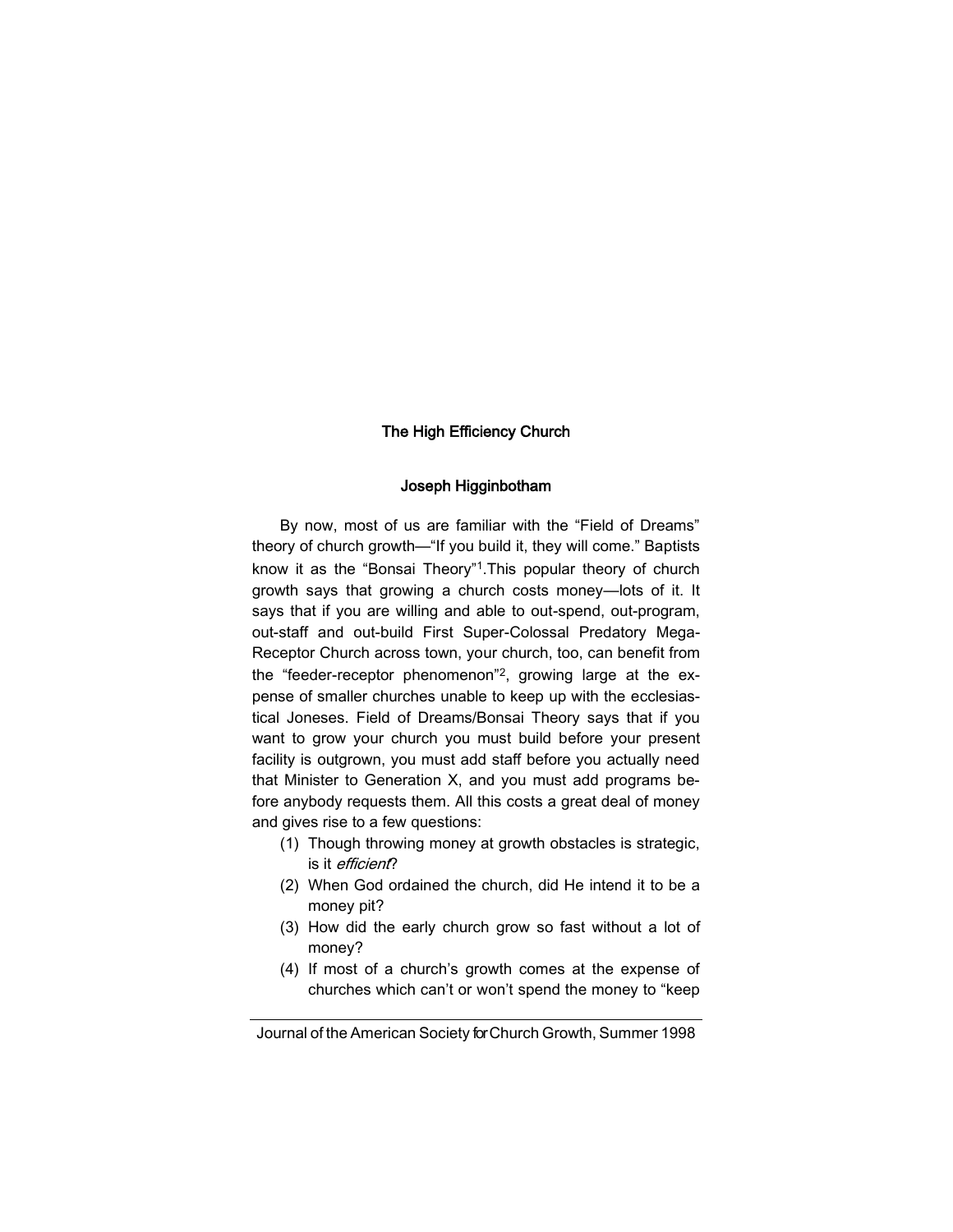# The High Efficiency Church

# Joseph Higginbotham

By now, most of us are familiar with the "Field of Dreams" theory of church growth—"If you build it, they will come." Baptists know it as the "Bonsai Theory"<sup>1</sup>. This popular theory of church growth says that growing a church costs money—lots of it. It says that if you are willing and able to out-spend, out-program, out-staff and out-build First Super-Colossal Predatory Mega-Receptor Church across town, your church, too, can benefit from the "feeder-receptor phenomenon"<sup>2</sup> , growing large at the expense of smaller churches unable to keep up with the ecclesiastical Joneses. Field of Dreams/Bonsai Theory says that if you want to grow your church you must build before your present facility is outgrown, you must add staff before you actually need that Minister to Generation X, and you must add programs before anybody requests them. All this costs a great deal of money and gives rise to a few questions:

- (1) Though throwing money at growth obstacles is strategic, is it efficient?
- (2) When God ordained the church, did He intend it to be a money pit?
- (3) How did the early church grow so fast without a lot of money?
- (4) If most of a church's growth comes at the expense of churches which can't or won't spend the money to "keep

Journal of the American Society for Church Growth, Summer 1998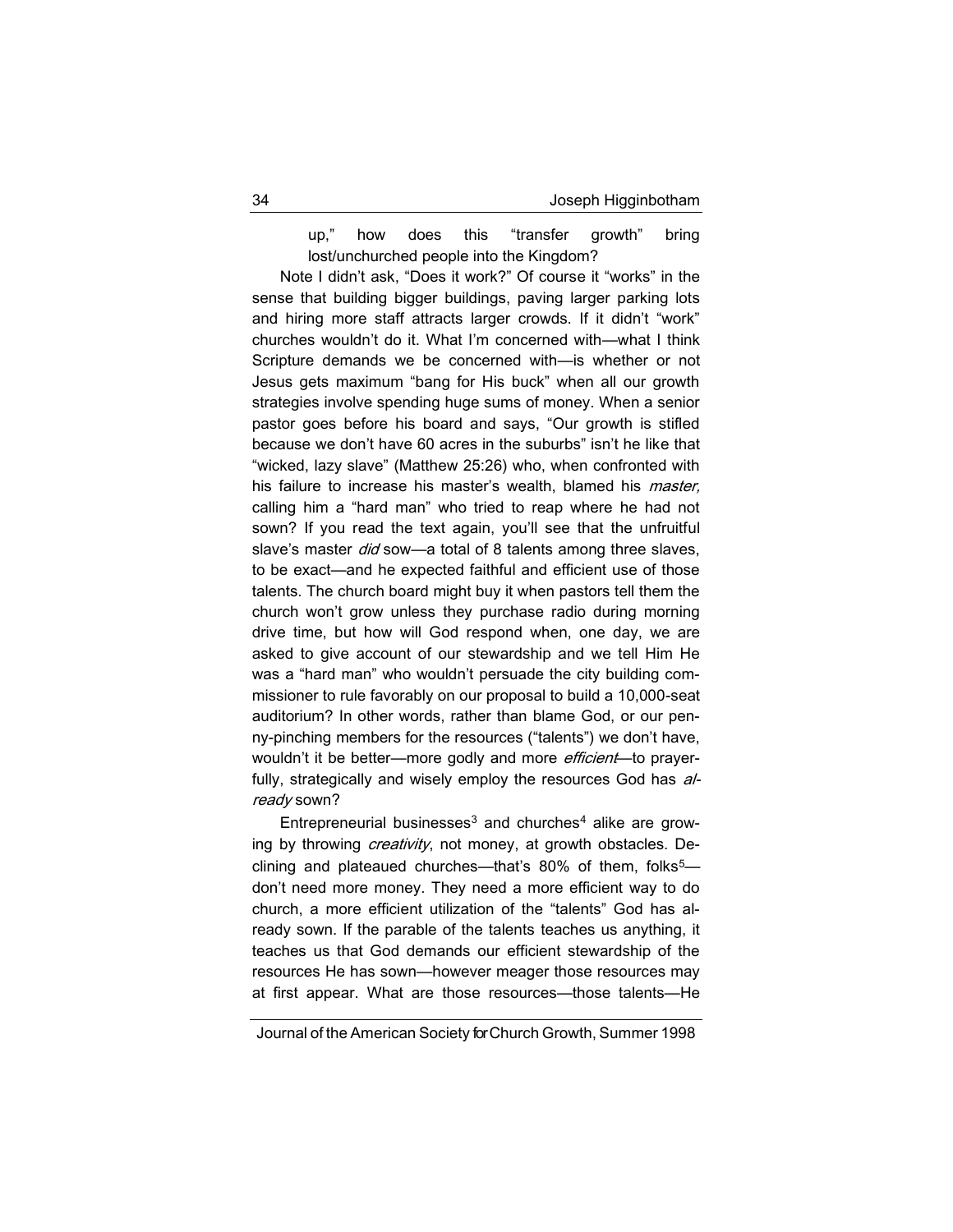up," how does this "transfer growth" bring lost/unchurched people into the Kingdom?

Note I didn't ask, "Does it work?" Of course it "works" in the sense that building bigger buildings, paving larger parking lots and hiring more staff attracts larger crowds. If it didn't "work" churches wouldn't do it. What I'm concerned with—what I think Scripture demands we be concerned with—is whether or not Jesus gets maximum "bang for His buck" when all our growth strategies involve spending huge sums of money. When a senior pastor goes before his board and says, "Our growth is stifled because we don't have 60 acres in the suburbs" isn't he like that "wicked, lazy slave" (Matthew 25:26) who, when confronted with his failure to increase his master's wealth, blamed his *master*, calling him a "hard man" who tried to reap where he had not sown? If you read the text again, you'll see that the unfruitful slave's master *did* sow-a total of 8 talents among three slaves, to be exact—and he expected faithful and efficient use of those talents. The church board might buy it when pastors tell them the church won't grow unless they purchase radio during morning drive time, but how will God respond when, one day, we are asked to give account of our stewardship and we tell Him He was a "hard man" who wouldn't persuade the city building commissioner to rule favorably on our proposal to build a 10,000-seat auditorium? In other words, rather than blame God, or our penny-pinching members for the resources ("talents") we don't have, wouldn't it be better—more godly and more *efficient*—to prayerfully, strategically and wisely employ the resources God has already sown?

Entrepreneurial businesses $3$  and churches<sup>4</sup> alike are growing by throwing *creativity*, not money, at growth obstacles. Declining and plateaued churches—that's  $80\%$  of them, folks<sup>5</sup> don't need more money. They need a more efficient way to do church, a more efficient utilization of the "talents" God has already sown. If the parable of the talents teaches us anything, it teaches us that God demands our efficient stewardship of the resources He has sown—however meager those resources may at first appear. What are those resources—those talents—He

Journal of the American Society for Church Growth, Summer 1998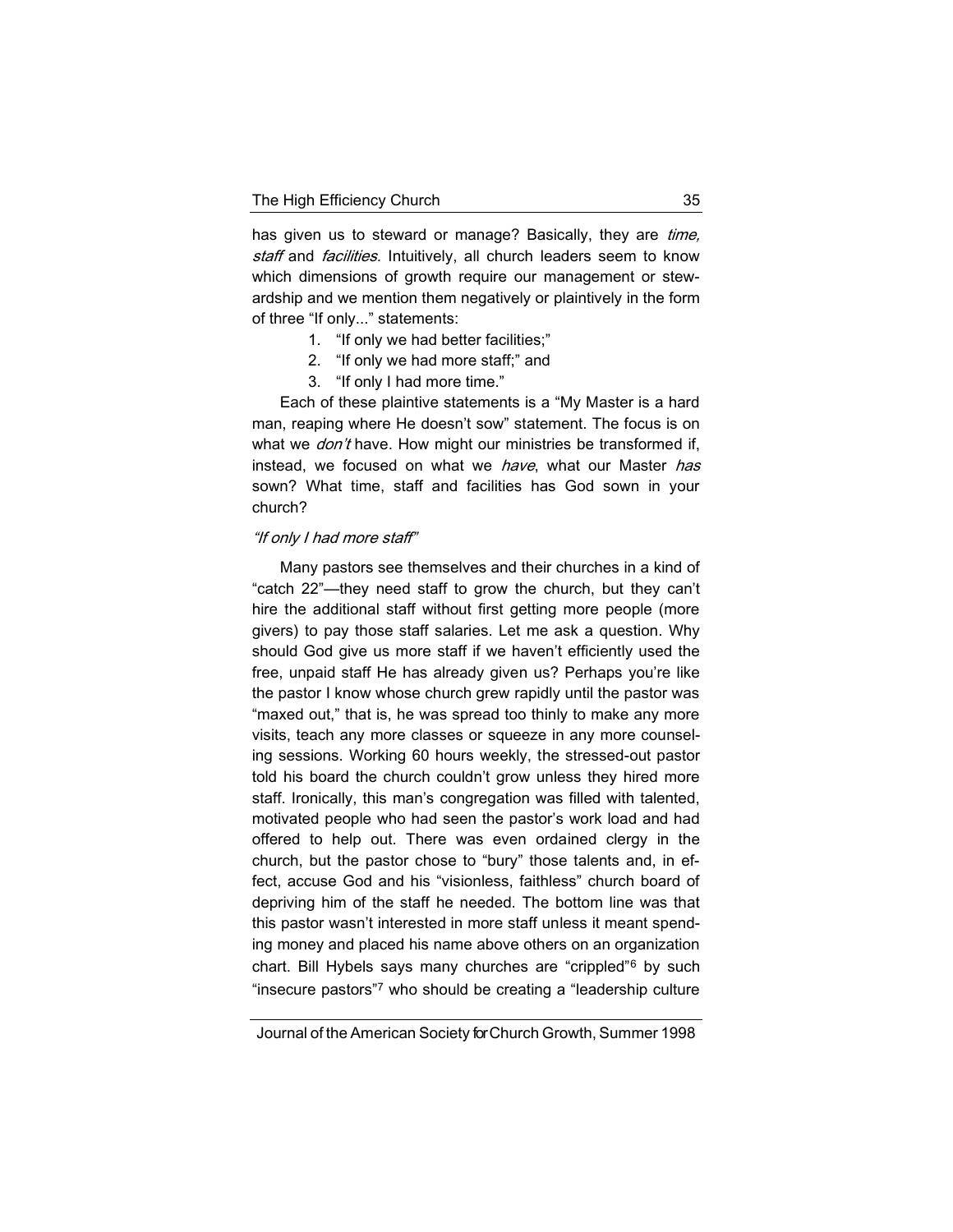has given us to steward or manage? Basically, they are *time*, staff and facilities. Intuitively, all church leaders seem to know which dimensions of growth require our management or stewardship and we mention them negatively or plaintively in the form of three "If only..." statements:

- 1. "If only we had better facilities;"
- 2. "If only we had more staff;" and
- 3. "If only I had more time."

Each of these plaintive statements is a "My Master is a hard man, reaping where He doesn't sow" statement. The focus is on what we don't have. How might our ministries be transformed if, instead, we focused on what we have, what our Master has sown? What time, staff and facilities has God sown in your church?

#### "If only I had more staff"

Many pastors see themselves and their churches in a kind of "catch 22"—they need staff to grow the church, but they can't hire the additional staff without first getting more people (more givers) to pay those staff salaries. Let me ask a question. Why should God give us more staff if we haven't efficiently used the free, unpaid staff He has already given us? Perhaps you're like the pastor I know whose church grew rapidly until the pastor was "maxed out," that is, he was spread too thinly to make any more visits, teach any more classes or squeeze in any more counseling sessions. Working 60 hours weekly, the stressed-out pastor told his board the church couldn't grow unless they hired more staff. Ironically, this man's congregation was filled with talented, motivated people who had seen the pastor's work load and had offered to help out. There was even ordained clergy in the church, but the pastor chose to "bury" those talents and, in effect, accuse God and his "visionless, faithless" church board of depriving him of the staff he needed. The bottom line was that this pastor wasn't interested in more staff unless it meant spending money and placed his name above others on an organization chart. Bill Hybels says many churches are "crippled"<sup>6</sup> by such "insecure pastors"<sup>7</sup> who should be creating a "leadership culture

Journal of the American Society for Church Growth, Summer 1998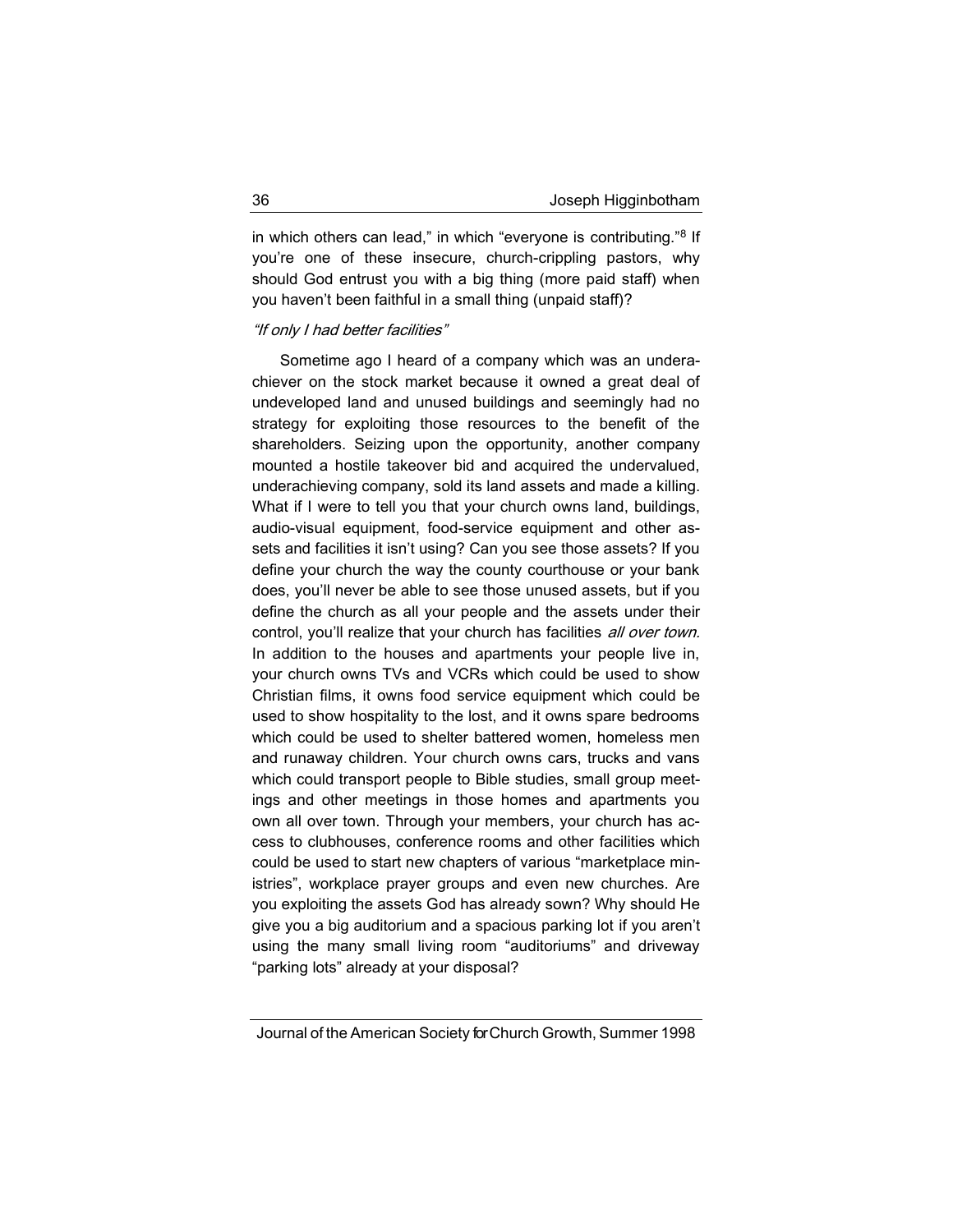in which others can lead," in which "everyone is contributing."<sup>8</sup> If you're one of these insecure, church-crippling pastors, why should God entrust you with a big thing (more paid staff) when you haven't been faithful in a small thing (unpaid staff)?

#### "If only I had better facilities"

Sometime ago I heard of a company which was an underachiever on the stock market because it owned a great deal of undeveloped land and unused buildings and seemingly had no strategy for exploiting those resources to the benefit of the shareholders. Seizing upon the opportunity, another company mounted a hostile takeover bid and acquired the undervalued, underachieving company, sold its land assets and made a killing. What if I were to tell you that your church owns land, buildings, audio-visual equipment, food-service equipment and other assets and facilities it isn't using? Can you see those assets? If you define your church the way the county courthouse or your bank does, you'll never be able to see those unused assets, but if you define the church as all your people and the assets under their control, you'll realize that your church has facilities all over town. In addition to the houses and apartments your people live in, your church owns TVs and VCRs which could be used to show Christian films, it owns food service equipment which could be used to show hospitality to the lost, and it owns spare bedrooms which could be used to shelter battered women, homeless men and runaway children. Your church owns cars, trucks and vans which could transport people to Bible studies, small group meetings and other meetings in those homes and apartments you own all over town. Through your members, your church has access to clubhouses, conference rooms and other facilities which could be used to start new chapters of various "marketplace ministries", workplace prayer groups and even new churches. Are you exploiting the assets God has already sown? Why should He give you a big auditorium and a spacious parking lot if you aren't using the many small living room "auditoriums" and driveway "parking lots" already at your disposal?

Journal of the American Society for Church Growth, Summer 1998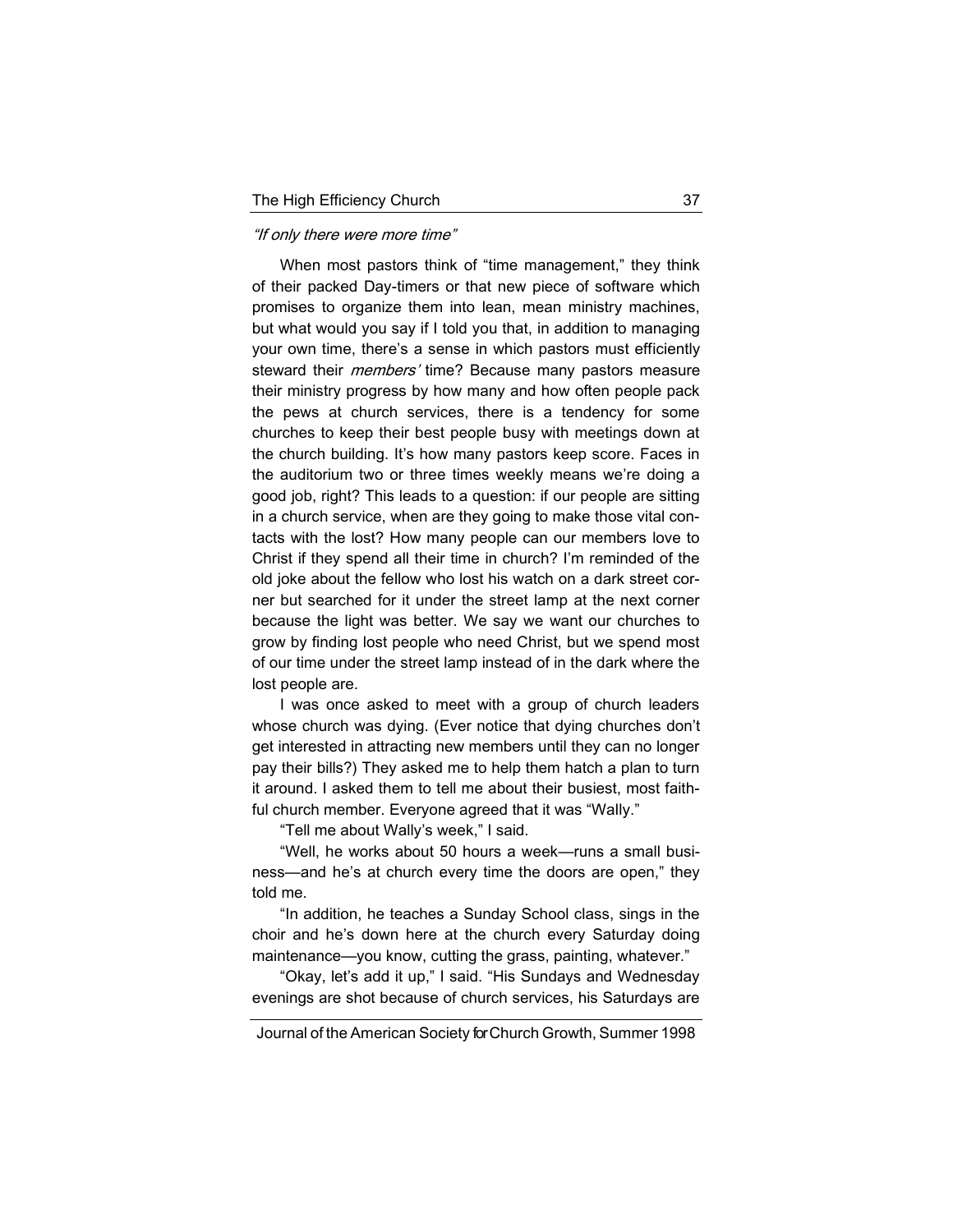#### "If only there were more time"

When most pastors think of "time management," they think of their packed Day-timers or that new piece of software which promises to organize them into lean, mean ministry machines, but what would you say if I told you that, in addition to managing your own time, there's a sense in which pastors must efficiently steward their *members'* time? Because many pastors measure their ministry progress by how many and how often people pack the pews at church services, there is a tendency for some churches to keep their best people busy with meetings down at the church building. It's how many pastors keep score. Faces in the auditorium two or three times weekly means we're doing a good job, right? This leads to a question: if our people are sitting in a church service, when are they going to make those vital contacts with the lost? How many people can our members love to Christ if they spend all their time in church? I'm reminded of the old joke about the fellow who lost his watch on a dark street corner but searched for it under the street lamp at the next corner because the light was better. We say we want our churches to grow by finding lost people who need Christ, but we spend most of our time under the street lamp instead of in the dark where the lost people are.

I was once asked to meet with a group of church leaders whose church was dying. (Ever notice that dying churches don't get interested in attracting new members until they can no longer pay their bills?) They asked me to help them hatch a plan to turn it around. I asked them to tell me about their busiest, most faithful church member. Everyone agreed that it was "Wally."

"Tell me about Wally's week," I said.

"Well, he works about 50 hours a week—runs a small business—and he's at church every time the doors are open," they told me.

"In addition, he teaches a Sunday School class, sings in the choir and he's down here at the church every Saturday doing maintenance—you know, cutting the grass, painting, whatever."

"Okay, let's add it up," I said. "His Sundays and Wednesday evenings are shot because of church services, his Saturdays are

Journal of the American Society for Church Growth, Summer 1998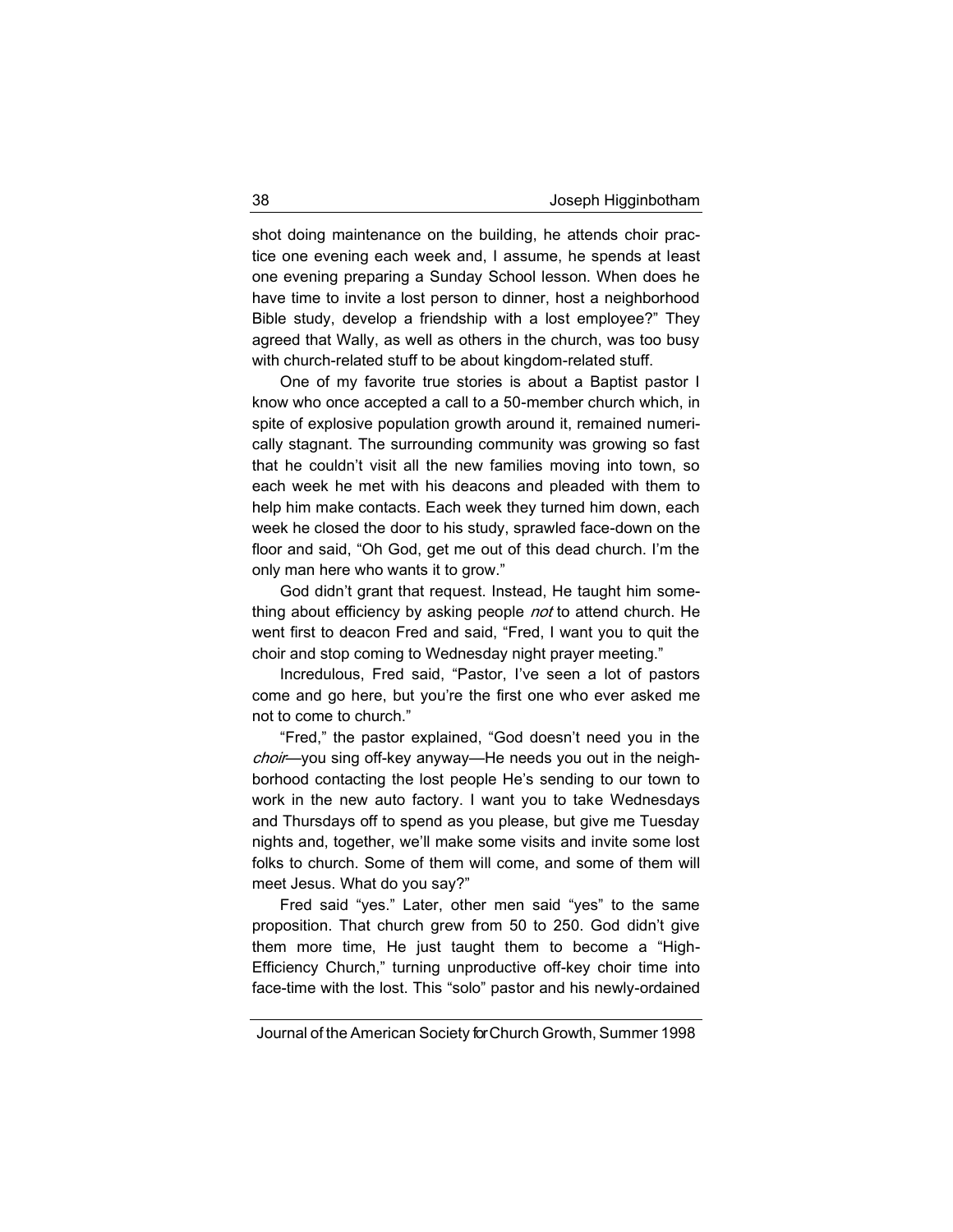shot doing maintenance on the building, he attends choir practice one evening each week and, I assume, he spends at least one evening preparing a Sunday School lesson. When does he have time to invite a lost person to dinner, host a neighborhood Bible study, develop a friendship with a lost employee?" They agreed that Wally, as well as others in the church, was too busy with church-related stuff to be about kingdom-related stuff.

One of my favorite true stories is about a Baptist pastor I know who once accepted a call to a 50-member church which, in spite of explosive population growth around it, remained numerically stagnant. The surrounding community was growing so fast that he couldn't visit all the new families moving into town, so each week he met with his deacons and pleaded with them to help him make contacts. Each week they turned him down, each week he closed the door to his study, sprawled face-down on the floor and said, "Oh God, get me out of this dead church. I'm the only man here who wants it to grow."

God didn't grant that request. Instead, He taught him something about efficiency by asking people *not* to attend church. He went first to deacon Fred and said, "Fred, I want you to quit the choir and stop coming to Wednesday night prayer meeting."

Incredulous, Fred said, "Pastor, I've seen a lot of pastors come and go here, but you're the first one who ever asked me not to come to church."

"Fred," the pastor explained, "God doesn't need you in the choir—you sing off-key anyway—He needs you out in the neighborhood contacting the lost people He's sending to our town to work in the new auto factory. I want you to take Wednesdays and Thursdays off to spend as you please, but give me Tuesday nights and, together, we'll make some visits and invite some lost folks to church. Some of them will come, and some of them will meet Jesus. What do you say?"

Fred said "yes." Later, other men said "yes" to the same proposition. That church grew from 50 to 250. God didn't give them more time, He just taught them to become a "High-Efficiency Church," turning unproductive off-key choir time into face-time with the lost. This "solo" pastor and his newly-ordained

Journal of the American Society for Church Growth, Summer 1998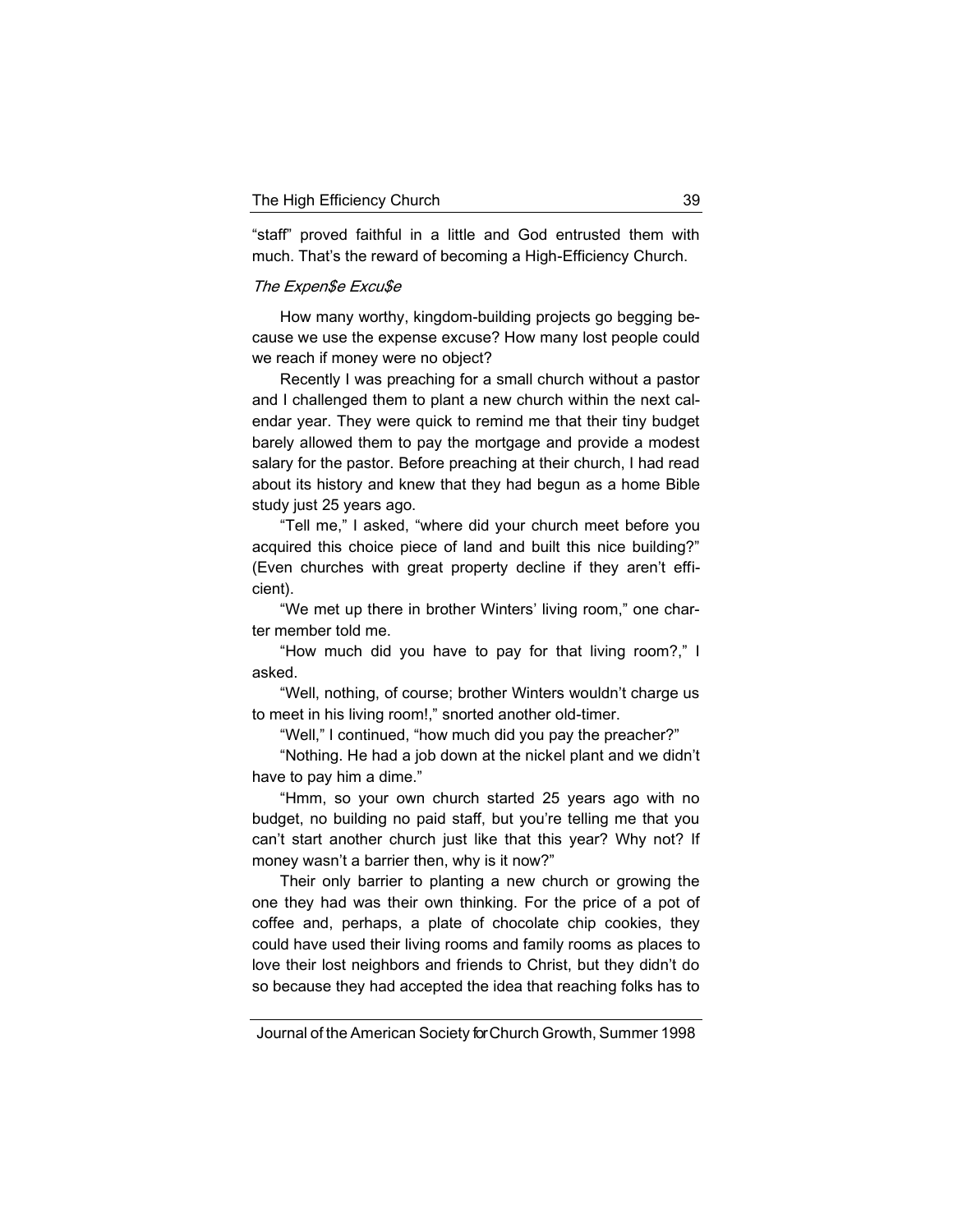"staff" proved faithful in a little and God entrusted them with much. That's the reward of becoming a High-Efficiency Church.

### The Expen\$e Excu\$e

How many worthy, kingdom-building projects go begging because we use the expense excuse? How many lost people could we reach if money were no object?

Recently I was preaching for a small church without a pastor and I challenged them to plant a new church within the next calendar year. They were quick to remind me that their tiny budget barely allowed them to pay the mortgage and provide a modest salary for the pastor. Before preaching at their church, I had read about its history and knew that they had begun as a home Bible study just 25 years ago.

"Tell me," I asked, "where did your church meet before you acquired this choice piece of land and built this nice building?" (Even churches with great property decline if they aren't efficient).

"We met up there in brother Winters' living room," one charter member told me.

"How much did you have to pay for that living room?," I asked.

"Well, nothing, of course; brother Winters wouldn't charge us to meet in his living room!," snorted another old-timer.

"Well," I continued, "how much did you pay the preacher?"

"Nothing. He had a job down at the nickel plant and we didn't have to pay him a dime."

"Hmm, so your own church started 25 years ago with no budget, no building no paid staff, but you're telling me that you can't start another church just like that this year? Why not? If money wasn't a barrier then, why is it now?"

Their only barrier to planting a new church or growing the one they had was their own thinking. For the price of a pot of coffee and, perhaps, a plate of chocolate chip cookies, they could have used their living rooms and family rooms as places to love their lost neighbors and friends to Christ, but they didn't do so because they had accepted the idea that reaching folks has to

Journal of the American Society for Church Growth, Summer 1998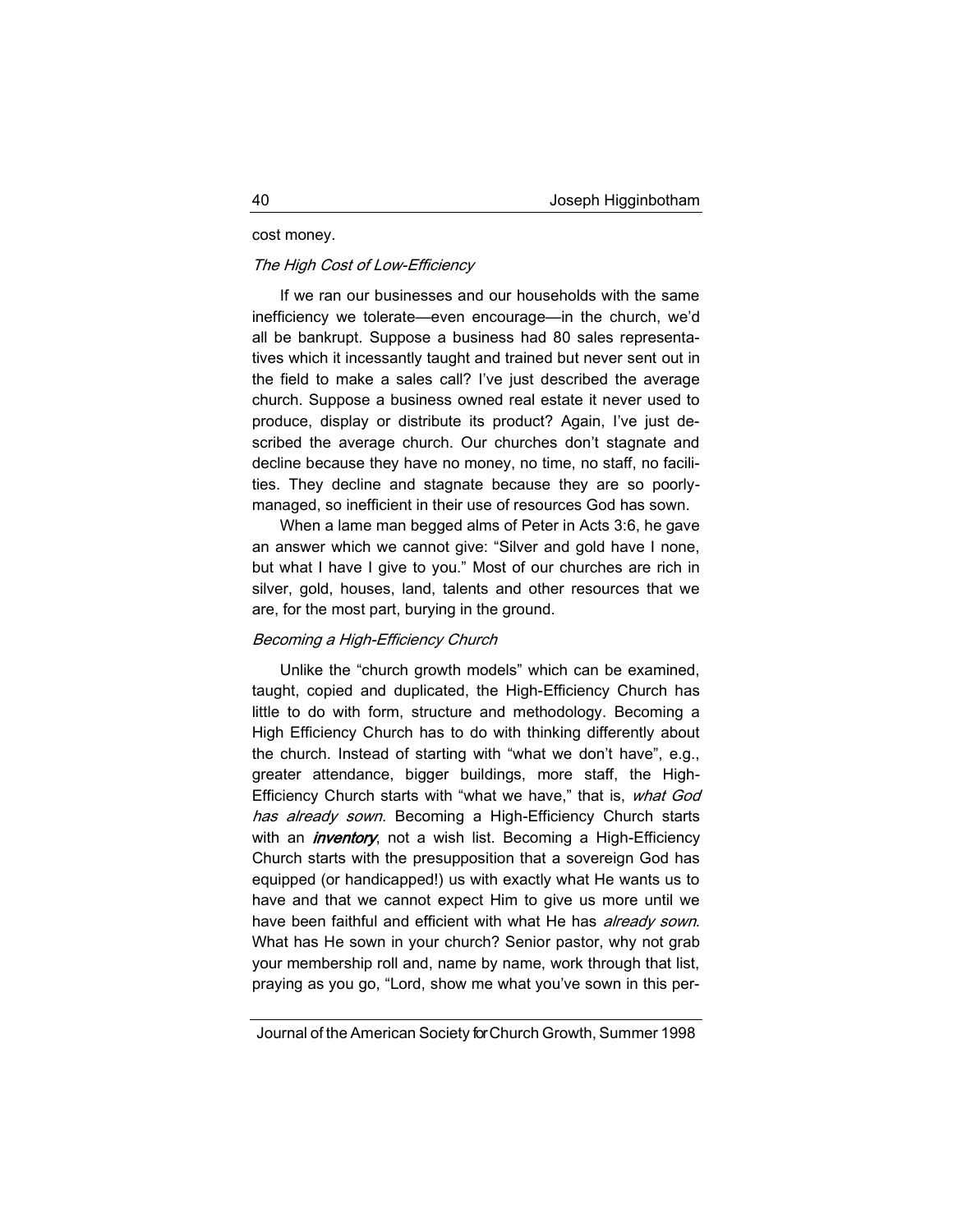### cost money.

### The High Cost of Low-Efficiency

If we ran our businesses and our households with the same inefficiency we tolerate—even encourage—in the church, we'd all be bankrupt. Suppose a business had 80 sales representatives which it incessantly taught and trained but never sent out in the field to make a sales call? I've just described the average church. Suppose a business owned real estate it never used to produce, display or distribute its product? Again, I've just described the average church. Our churches don't stagnate and decline because they have no money, no time, no staff, no facilities. They decline and stagnate because they are so poorlymanaged, so inefficient in their use of resources God has sown.

When a lame man begged alms of Peter in Acts 3:6, he gave an answer which we cannot give: "Silver and gold have I none, but what I have I give to you." Most of our churches are rich in silver, gold, houses, land, talents and other resources that we are, for the most part, burying in the ground.

### Becoming a High-Efficiency Church

Unlike the "church growth models" which can be examined, taught, copied and duplicated, the High-Efficiency Church has little to do with form, structure and methodology. Becoming a High Efficiency Church has to do with thinking differently about the church. Instead of starting with "what we don't have", e.g., greater attendance, bigger buildings, more staff, the High-Efficiency Church starts with "what we have," that is, what God has already sown. Becoming a High-Efficiency Church starts with an *inventory*, not a wish list. Becoming a High-Efficiency Church starts with the presupposition that a sovereign God has equipped (or handicapped!) us with exactly what He wants us to have and that we cannot expect Him to give us more until we have been faithful and efficient with what He has *already sown*. What has He sown in your church? Senior pastor, why not grab your membership roll and, name by name, work through that list, praying as you go, "Lord, show me what you've sown in this per-

Journal of the American Society for Church Growth, Summer 1998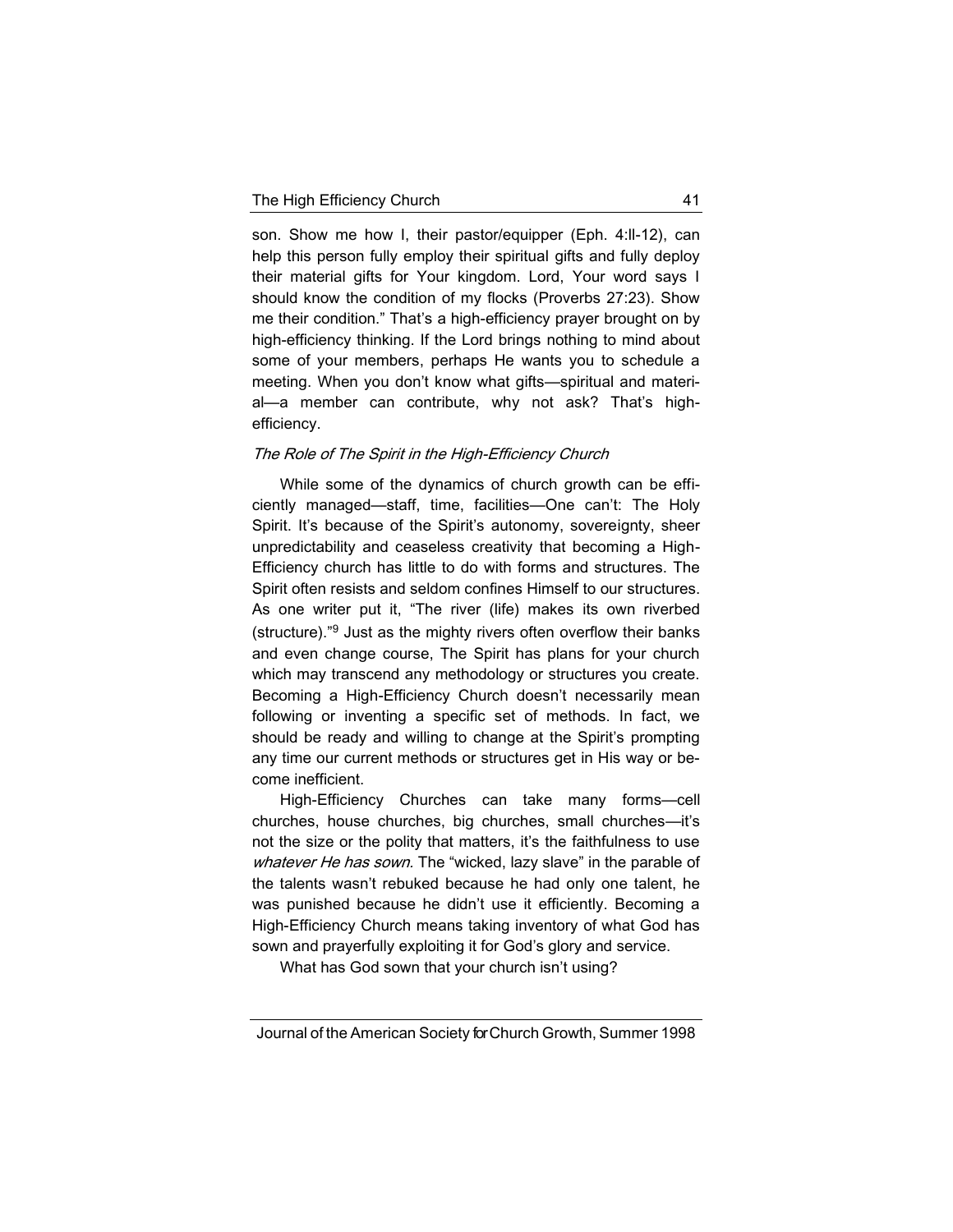son. Show me how I, their pastor/equipper (Eph. 4:ll-12), can help this person fully employ their spiritual gifts and fully deploy their material gifts for Your kingdom. Lord, Your word says I should know the condition of my flocks (Proverbs 27:23). Show me their condition." That's a high-efficiency prayer brought on by high-efficiency thinking. If the Lord brings nothing to mind about some of your members, perhaps He wants you to schedule a meeting. When you don't know what gifts—spiritual and material—a member can contribute, why not ask? That's highefficiency.

# The Role of The Spirit in the High-Efficiency Church

While some of the dynamics of church growth can be efficiently managed—staff, time, facilities—One can't: The Holy Spirit. It's because of the Spirit's autonomy, sovereignty, sheer unpredictability and ceaseless creativity that becoming a High-Efficiency church has little to do with forms and structures. The Spirit often resists and seldom confines Himself to our structures. As one writer put it, "The river (life) makes its own riverbed (structure)."<sup>9</sup> Just as the mighty rivers often overflow their banks and even change course, The Spirit has plans for your church which may transcend any methodology or structures you create. Becoming a High-Efficiency Church doesn't necessarily mean following or inventing a specific set of methods. In fact, we should be ready and willing to change at the Spirit's prompting any time our current methods or structures get in His way or become inefficient.

High-Efficiency Churches can take many forms—cell churches, house churches, big churches, small churches—it's not the size or the polity that matters, it's the faithfulness to use whatever He has sown. The "wicked, lazy slave" in the parable of the talents wasn't rebuked because he had only one talent, he was punished because he didn't use it efficiently. Becoming a High-Efficiency Church means taking inventory of what God has sown and prayerfully exploiting it for God's glory and service.

What has God sown that your church isn't using?